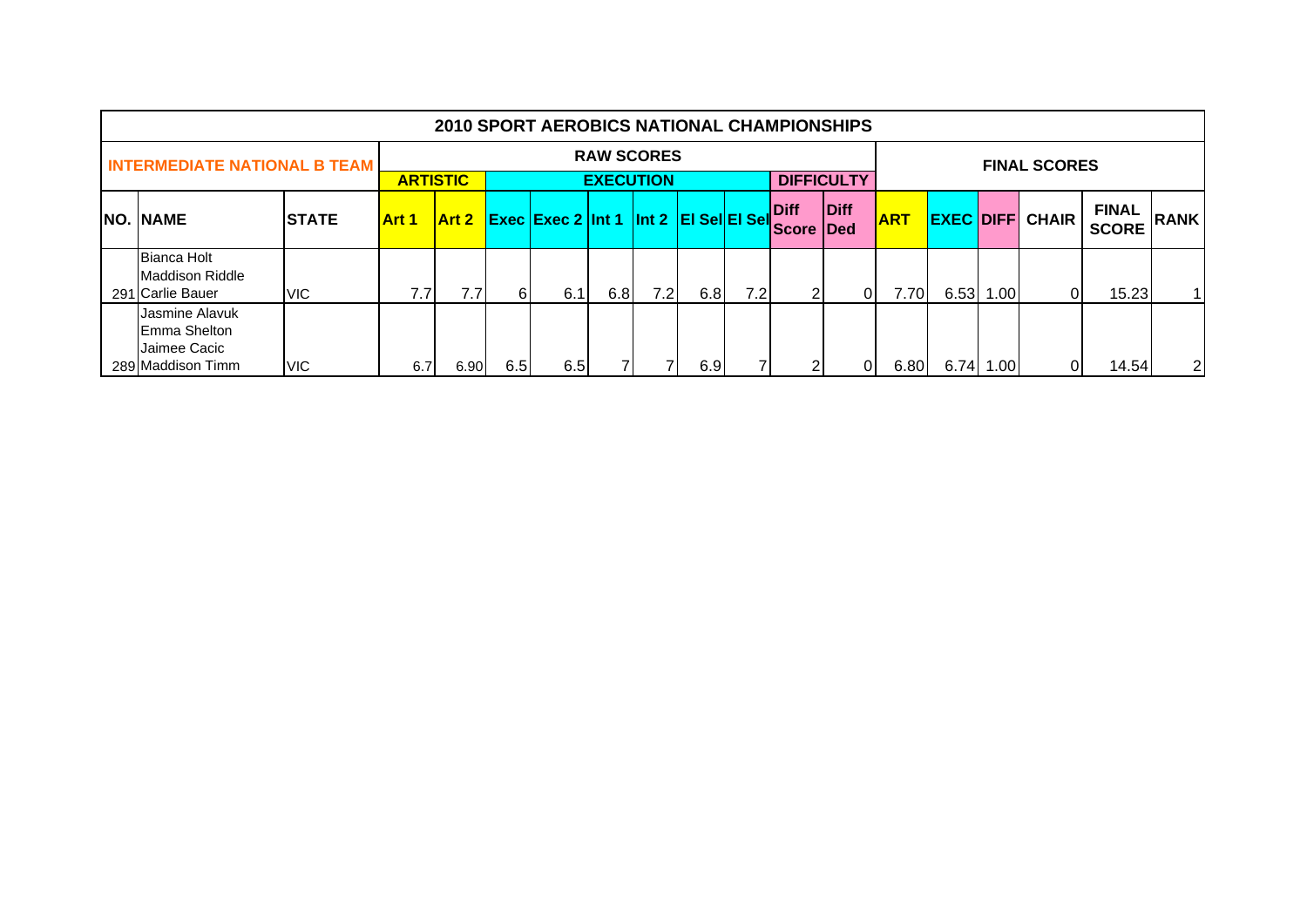|                                                                             |              |              |                   |     | <b>2010 SPORT AEROBICS NATIONAL CHAMPIONSHIPS</b> |                                       |     |     |     |                                 |                   |            |                  |             |                     |                              |                |
|-----------------------------------------------------------------------------|--------------|--------------|-------------------|-----|---------------------------------------------------|---------------------------------------|-----|-----|-----|---------------------------------|-------------------|------------|------------------|-------------|---------------------|------------------------------|----------------|
| <b>INTERMEDIATE NATIONAL B TEAM</b>                                         |              |              | <b>ARTISTIC</b>   |     |                                                   | <b>RAW SCORES</b><br><b>EXECUTION</b> |     |     |     |                                 | <b>DIFFICULTY</b> |            |                  |             | <b>FINAL SCORES</b> |                              |                |
| NO. NAME                                                                    | <b>STATE</b> | <b>Art 1</b> | Art 2             |     | Exec Exec 2 Int 1 Int 2 EI Sel EI Sel             |                                       |     |     |     | <b>Diff</b><br><b>Score Ded</b> | Diff              | <b>ART</b> | <b>EXEC DIFF</b> |             | <b>CHAIR</b>        | <b>FINAL</b><br><b>SCORE</b> | <b>RANK</b>    |
| <b>Bianca Holt</b><br>Maddison Riddle<br>291 Carlie Bauer                   | VIC.         | 7.7          | 7.7               | 61  | 6.1                                               | 6.8                                   | 7.2 | 6.8 | 7.2 | ົ                               | ΩI                | 7.70       |                  | $6.53$ 1.00 | ΩI                  | 15.23                        | $\mathbf{1}$   |
| Jasmine Alavuk<br><b>IEmma Shelton</b><br>Jaimee Cacic<br>289 Maddison Timm | VIC.         | 6.7          | 6.90 <sub>l</sub> | 6.5 | 6.5                                               |                                       |     | 6.9 |     | ົ                               | ΩI                | 6.80       |                  | 6.74 1.00   | ΩI                  | 14.54                        | $\overline{2}$ |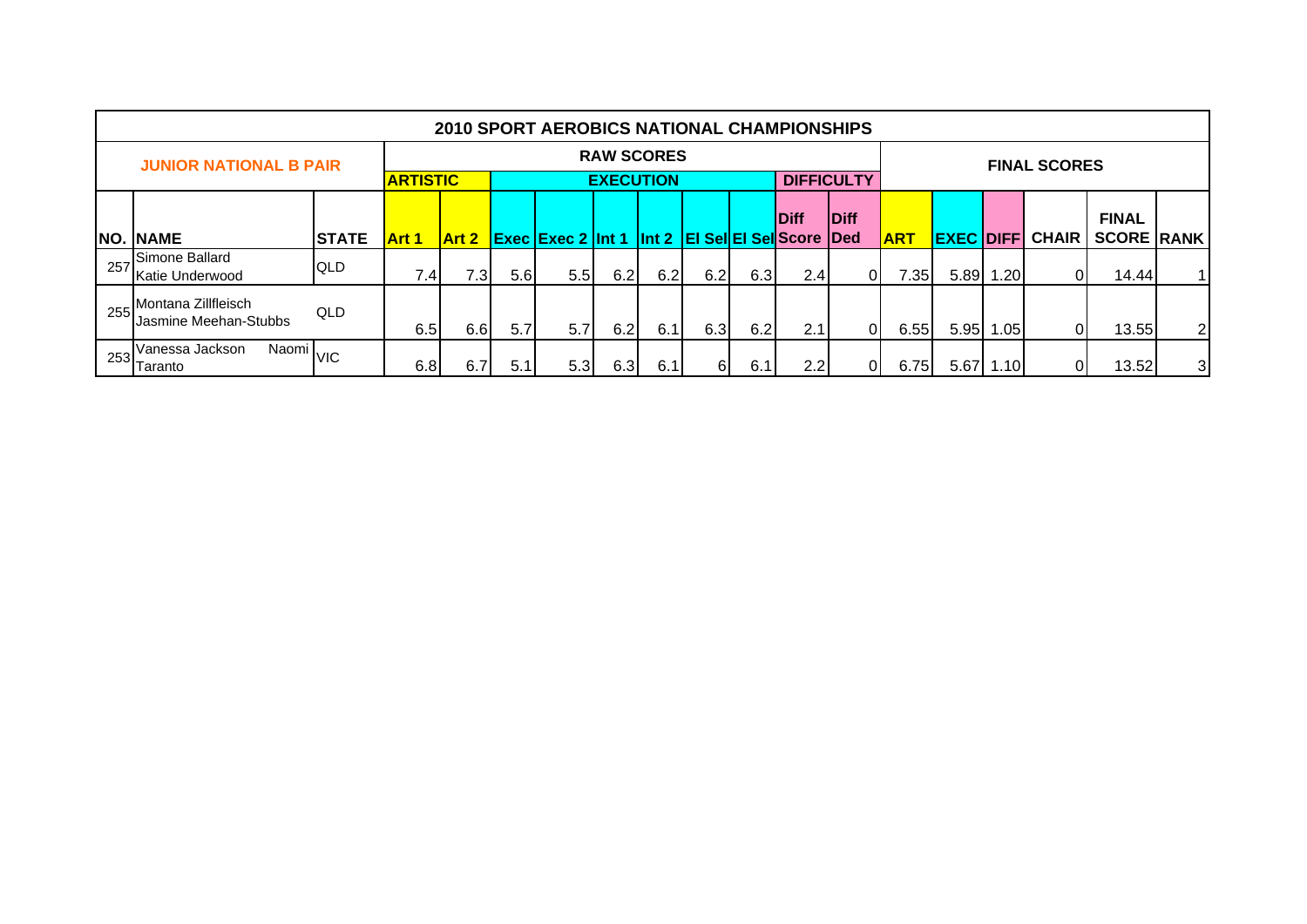|     |                                                    |              |                  |              |      | <b>2010 SPORT AEROBICS NATIONAL CHAMPIONSHIPS</b> |                   |     |     |     |                                   |                   |            |                   |           |                     |                   |   |
|-----|----------------------------------------------------|--------------|------------------|--------------|------|---------------------------------------------------|-------------------|-----|-----|-----|-----------------------------------|-------------------|------------|-------------------|-----------|---------------------|-------------------|---|
|     | <b>JUNIOR NATIONAL B PAIR</b>                      |              |                  |              |      |                                                   | <b>RAW SCORES</b> |     |     |     |                                   |                   |            |                   |           | <b>FINAL SCORES</b> |                   |   |
|     |                                                    |              | <b>ARTISTIC</b>  |              |      |                                                   | <b>EXECUTION</b>  |     |     |     |                                   | <b>DIFFICULTY</b> |            |                   |           |                     |                   |   |
|     |                                                    |              |                  |              |      |                                                   |                   |     |     |     | <b>Diff</b>                       | <b>Diff</b>       |            |                   |           |                     | <b>FINAL</b>      |   |
|     | <b>NO. NAME</b>                                    | <b>STATE</b> | Art 1            | <b>Art 2</b> |      | <b>Exec Exec 2 Int 1</b>                          |                   |     |     |     | Int 2   El Sel El Sel Score   Ded |                   | <b>ART</b> | <b>EXEC DIFFI</b> |           | <b>CHAIR</b>        | <b>SCORE RANK</b> |   |
| 257 | Simone Ballard<br>Katie Underwood                  | QLD          | 7.4 <sub>1</sub> | ا3.          | 5.61 | 5.5                                               | 6.2               | 6.2 | 6.2 | 6.3 | 2.4                               | <sup>0</sup>      | 7.35       |                   | 5.89 1.20 | 01                  | 14.44             | 1 |
| 255 | Montana Zillfleisch<br>Jasmine Meehan-Stubbs       | QLD          | 6.5              | 6.6          | 5.7  | 5.7                                               | 6.2               | 6.1 | 6.3 | 6.2 | 2.1                               | $\Omega$          | 6.55       |                   | 5.95 1.05 | 01                  | 13.55             | 2 |
| 253 | Naomi <sub>VIC</sub><br>Vanessa Jackson<br>Taranto |              | 6.8              | 6.7          | 5.1  | 5.3                                               | 6.3               | 6.1 | 61  | 6.1 | 2.2                               | 01                | 6.75       |                   | 5.67 1.10 | 01                  | 13.52             | 3 |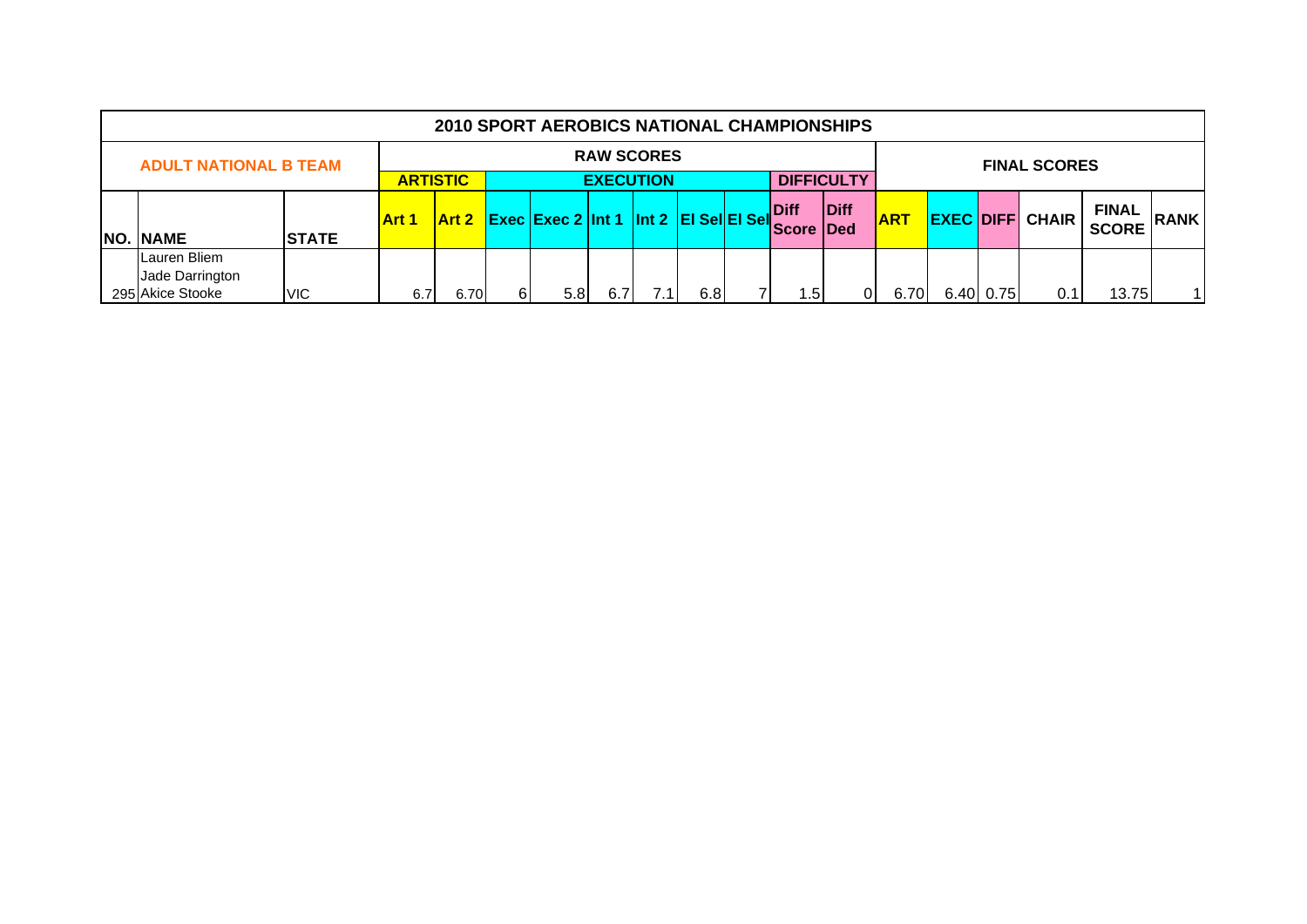|                                                                                                           |                                                     |      |                                                          |                                                                               |  | <b>2010 SPORT AEROBICS NATIONAL CHAMPIONSHIPS</b> |  |      |            |  |                        |                              |             |           |                     |       |    |
|-----------------------------------------------------------------------------------------------------------|-----------------------------------------------------|------|----------------------------------------------------------|-------------------------------------------------------------------------------|--|---------------------------------------------------|--|------|------------|--|------------------------|------------------------------|-------------|-----------|---------------------|-------|----|
|                                                                                                           | <b>RAW SCORES</b><br><b>ADULT NATIONAL B TEAM</b>   |      |                                                          |                                                                               |  |                                                   |  |      |            |  |                        |                              |             |           | <b>FINAL SCORES</b> |       |    |
|                                                                                                           |                                                     |      | <b>DIFFICULTY</b><br><b>ARTISTIC</b><br><b>EXECUTION</b> |                                                                               |  |                                                   |  |      |            |  |                        |                              |             |           |                     |       |    |
| Diff<br>Exec Exec 2 Int 1 Int 2 EI Sel EI Sel<br>Art 2<br><b>Art 1</b><br><b>NO. NAME</b><br><b>STATE</b> |                                                     |      |                                                          |                                                                               |  |                                                   |  | Diff | <b>ART</b> |  | <b>EXEC DIFF CHAIR</b> | <b>FINAL</b><br><b>SCORE</b> | <b>RANK</b> |           |                     |       |    |
|                                                                                                           | Lauren Bliem<br>Jade Darrington<br>295 Akice Stooke | VIC. | 6.7                                                      | <b>Score Ded</b><br>1.5<br>6I<br>6.8<br>5.8<br>6.7<br>$^{\prime}$ .1'<br>6.70 |  |                                                   |  |      |            |  |                        |                              | 01<br>6.70I | 6.40 0.75 | 0.1                 | 13.75 | 11 |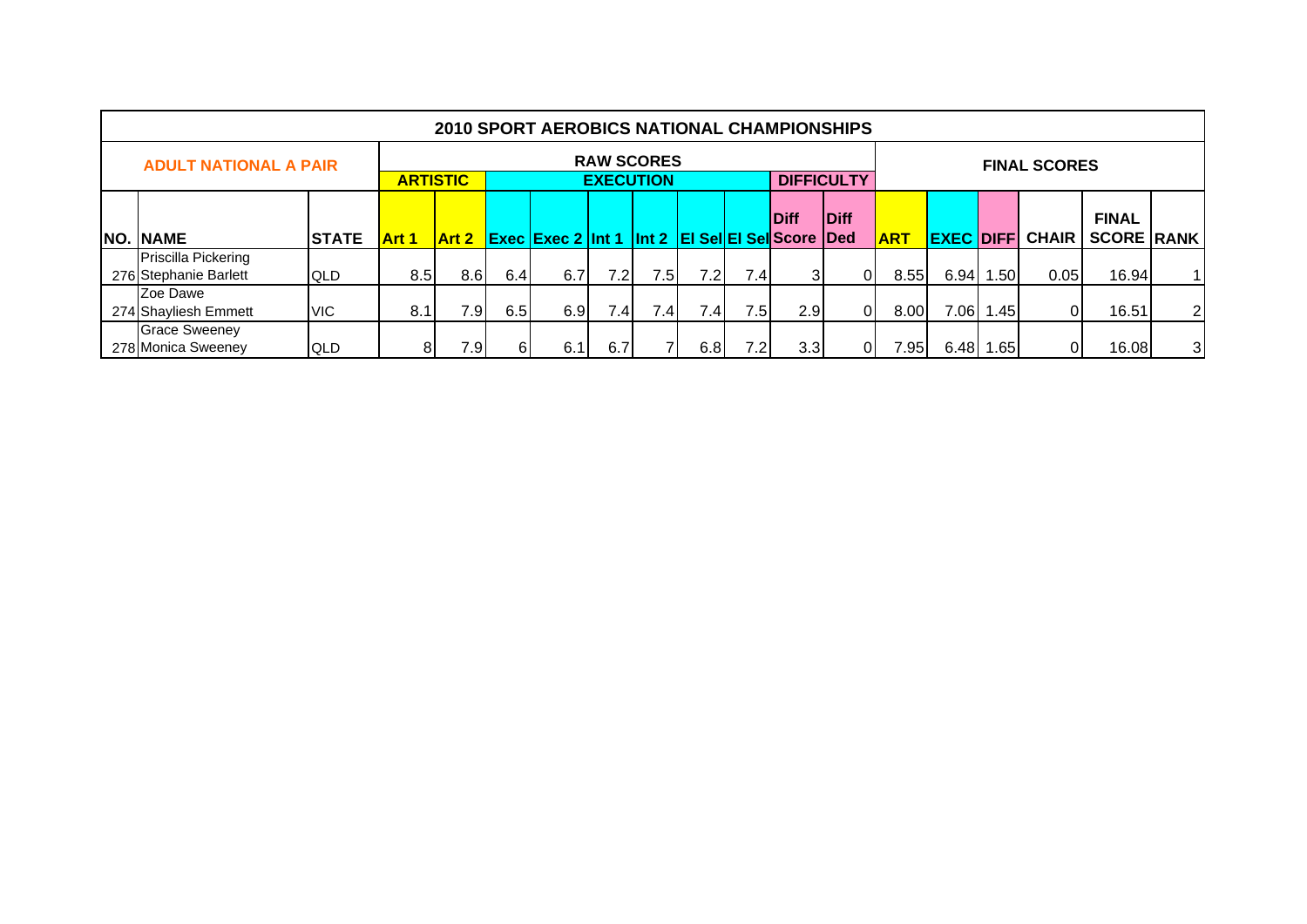|                                              |              |              |                                                                                                |     | <b>2010 SPORT AEROBICS NATIONAL CHAMPIONSHIPS</b> |                                       |     |      |      |     |                   |            |                  |       |                     |                                   |                |
|----------------------------------------------|--------------|--------------|------------------------------------------------------------------------------------------------|-----|---------------------------------------------------|---------------------------------------|-----|------|------|-----|-------------------|------------|------------------|-------|---------------------|-----------------------------------|----------------|
| <b>ADULT NATIONAL A PAIR</b>                 |              |              | <b>ARTISTIC</b>                                                                                |     |                                                   | <b>RAW SCORES</b><br><b>EXECUTION</b> |     |      |      |     | <b>DIFFICULTY</b> |            |                  |       | <b>FINAL SCORES</b> |                                   |                |
| <b>NO. NAME</b>                              | <b>STATE</b> | <b>Art 1</b> | <b>IDiff</b><br><b>Diff</b><br><b>Exec Exec 2 Int 1 Int 2 EI Sel EI Sel Score Ded</b><br>Art 2 |     |                                                   |                                       |     |      |      |     |                   | <b>ART</b> | <b>EXEC DIFF</b> |       | <b>CHAIR</b>        | <b>FINAL</b><br><b>SCORE RANK</b> |                |
| Priscilla Pickering<br>276 Stephanie Barlett | <b>QLD</b>   | 8.5          | 8.6 <sub>1</sub>                                                                               | 6.4 | 6.7                                               | 7.2                                   | 7.5 | 7.2I | 7.4  | 31  | 01                | 8.55       | $6.94$ 1         | l.50l | 0.05                | 16.94                             | 11             |
| Zoe Dawe<br>274 Shayliesh Emmett             | <b>VIC</b>   | 8.1          | 7.9I                                                                                           | 6.5 | 6.9                                               | 7.4                                   | 7.4 | 7.4I | 7.5I | 2.9 | 01                | 8.00       | 7.06             | 1.45  | 0I                  | 16.51                             | 2 <sub>l</sub> |
| <b>Grace Sweeney</b><br>278 Monica Sweeney   | <b>QLD</b>   | 81           | 7.9                                                                                            | 6   | 6.1                                               | 6.7                                   |     | 6.81 | 7.2I | 3.3 | 01                | 95۱.'      | 6.48             | 1.65  | 01                  | 16.08                             | 3 <sup>l</sup> |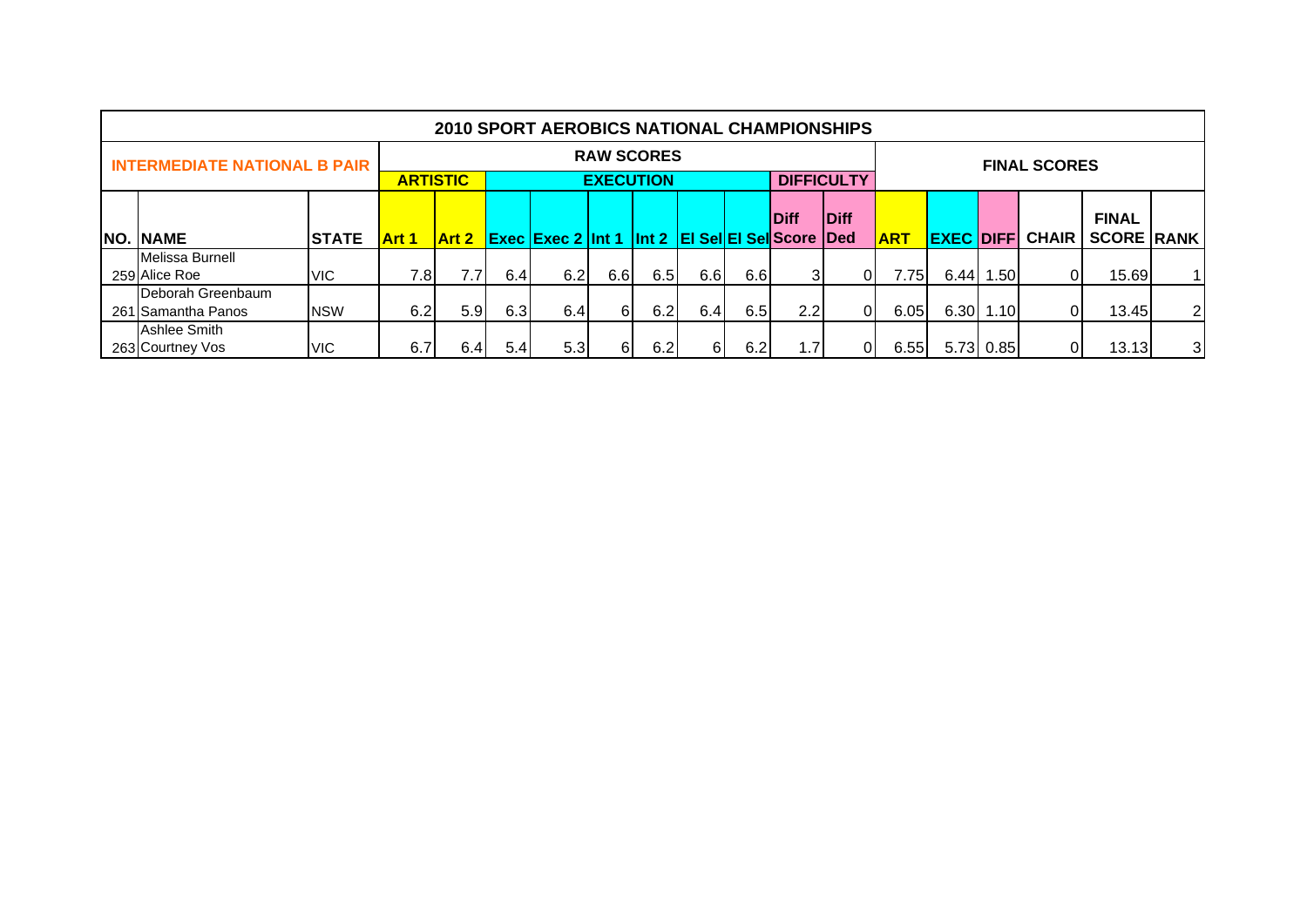|                                         |              |              |                                                                                                                         |      | <b>2010 SPORT AEROBICS NATIONAL CHAMPIONSHIPS</b> |                   |     |     |             |     |                   |       |      |              |                     |       |                |
|-----------------------------------------|--------------|--------------|-------------------------------------------------------------------------------------------------------------------------|------|---------------------------------------------------|-------------------|-----|-----|-------------|-----|-------------------|-------|------|--------------|---------------------|-------|----------------|
| <b>INTERMEDIATE NATIONAL B PAIR</b>     |              |              |                                                                                                                         |      |                                                   | <b>RAW SCORES</b> |     |     |             |     |                   |       |      |              | <b>FINAL SCORES</b> |       |                |
|                                         |              |              | <b>ARTISTIC</b>                                                                                                         |      |                                                   | <b>EXECUTION</b>  |     |     |             |     | <b>DIFFICULTY</b> |       |      |              |                     |       |                |
|                                         |              |              |                                                                                                                         |      |                                                   |                   |     |     | <b>Diff</b> |     |                   |       |      | <b>FINAL</b> |                     |       |                |
| <b>NO. NAME</b>                         | <b>STATE</b> | <b>Art 1</b> | <b>Diff</b><br><b>Exec Exec 2 Int 1 Int 2 EI Sel EI Sel Score Ded</b><br><b>EXEC DIFF</b><br><b>ART</b><br><b>Art 2</b> |      |                                                   |                   |     |     |             |     |                   |       |      | <b>CHAIR</b> | <b>SCORE RANK</b>   |       |                |
| Melissa Burnell<br>259 Alice Roe        | <b>VIC</b>   | 7.8          | 7.7 <sub>1</sub>                                                                                                        | 6.4  | 6.2                                               | 6.6               | 6.5 | 6.6 | 6.6         | 31  | ΟI                | 7.751 | 6.44 | l.50l        | 01                  | 15.69 | 11             |
| Deborah Greenbaum<br>261 Samantha Panos | <b>NSW</b>   | 6.2          | 5.9 <sub>1</sub>                                                                                                        | 6.3  | 6.4                                               | 61                | 6.2 | 6.4 | 6.5         | 2.2 | 01                | 6.05  |      | 6.30 1.10    | ٥ı                  | 13.45 | 2 <sub>l</sub> |
| Ashlee Smith<br>263 Courtney Vos        | <b>VIC</b>   | 6.7          | 6.4                                                                                                                     | 5.41 | 5.3                                               | 61                | 6.2 | 61  | 6.2         | 1.7 | 01                | 6.55  |      | 5.73 0.85    | 01                  | 13.13 | 3 <sup>l</sup> |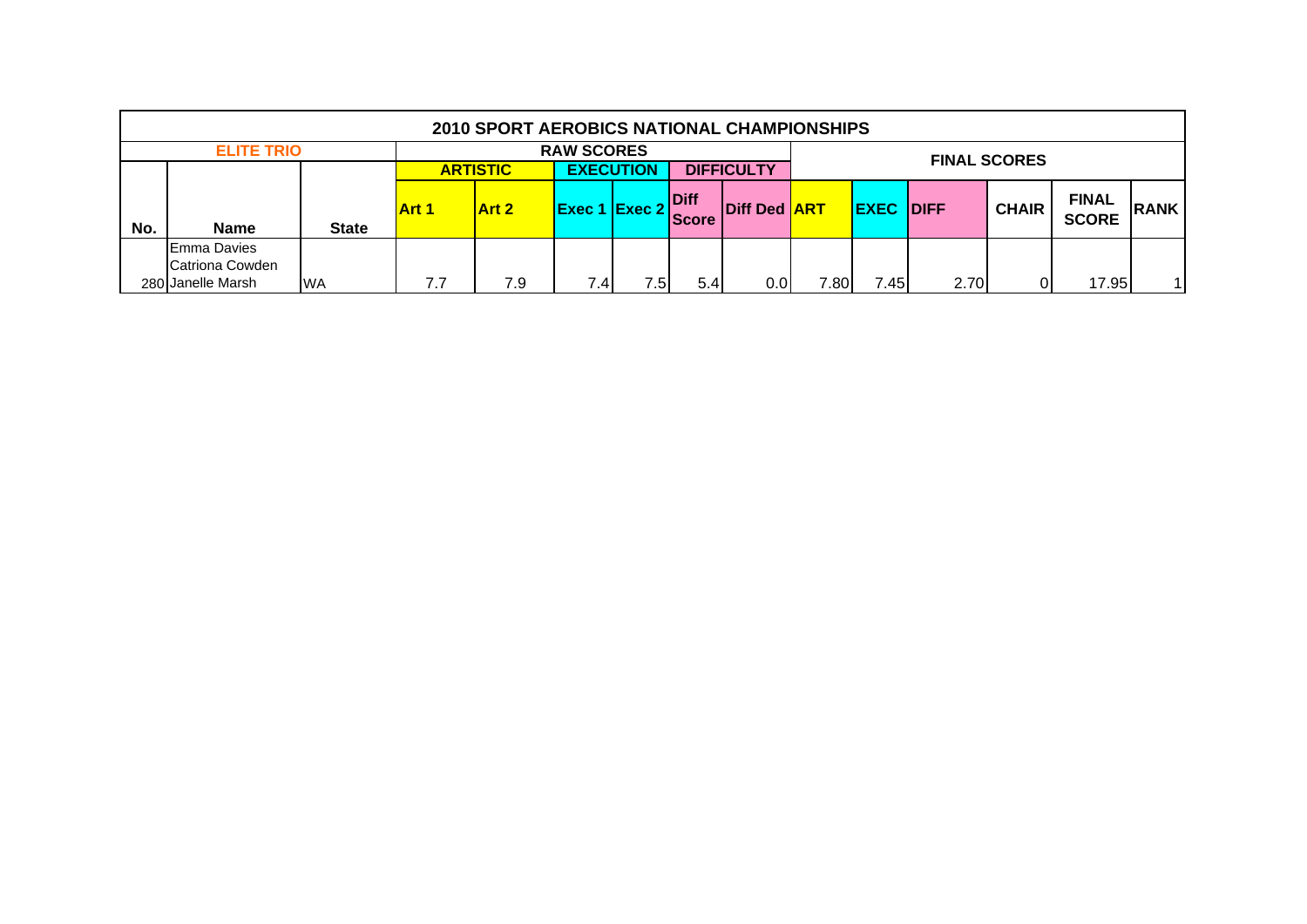|     |                    |              |                                                                                                                                                                                                               | <b>2010 SPORT AEROBICS NATIONAL CHAMPIONSHIPS</b> |     |        |                     |                   |       |      |      |  |       |             |  |  |
|-----|--------------------|--------------|---------------------------------------------------------------------------------------------------------------------------------------------------------------------------------------------------------------|---------------------------------------------------|-----|--------|---------------------|-------------------|-------|------|------|--|-------|-------------|--|--|
|     | <b>ELITE TRIO</b>  |              |                                                                                                                                                                                                               |                                                   |     |        | <b>FINAL SCORES</b> |                   |       |      |      |  |       |             |  |  |
|     |                    |              |                                                                                                                                                                                                               | <b>ARTISTIC</b>                                   |     |        |                     | <b>DIFFICULTY</b> |       |      |      |  |       |             |  |  |
| No. | <b>Name</b>        | <b>State</b> | <b>EXECUTION</b><br><b>FINAL</b><br>Diff<br><b>Diff Ded ART</b><br>$\mathsf{Exec} 2$<br><b>EXEC</b><br><b>CHAIR</b><br><b>IDIFF</b><br><b>Art 2</b><br><b>Art 1</b><br>Exec 1<br><b>SCORE</b><br><b>Score</b> |                                                   |     |        |                     |                   |       |      |      |  |       | <b>RANK</b> |  |  |
|     | <b>Emma Davies</b> |              |                                                                                                                                                                                                               |                                                   |     |        |                     |                   |       |      |      |  |       |             |  |  |
|     | Catriona Cowden    |              |                                                                                                                                                                                                               |                                                   |     |        |                     |                   |       |      |      |  |       |             |  |  |
|     | 280 Janelle Marsh  | <b>WA</b>    | 7.7                                                                                                                                                                                                           | 7.9                                               | 7.4 | $.5\,$ | 5.4                 | 0.0               | 7.801 | 7.45 | 2.70 |  | 17.95 | 1           |  |  |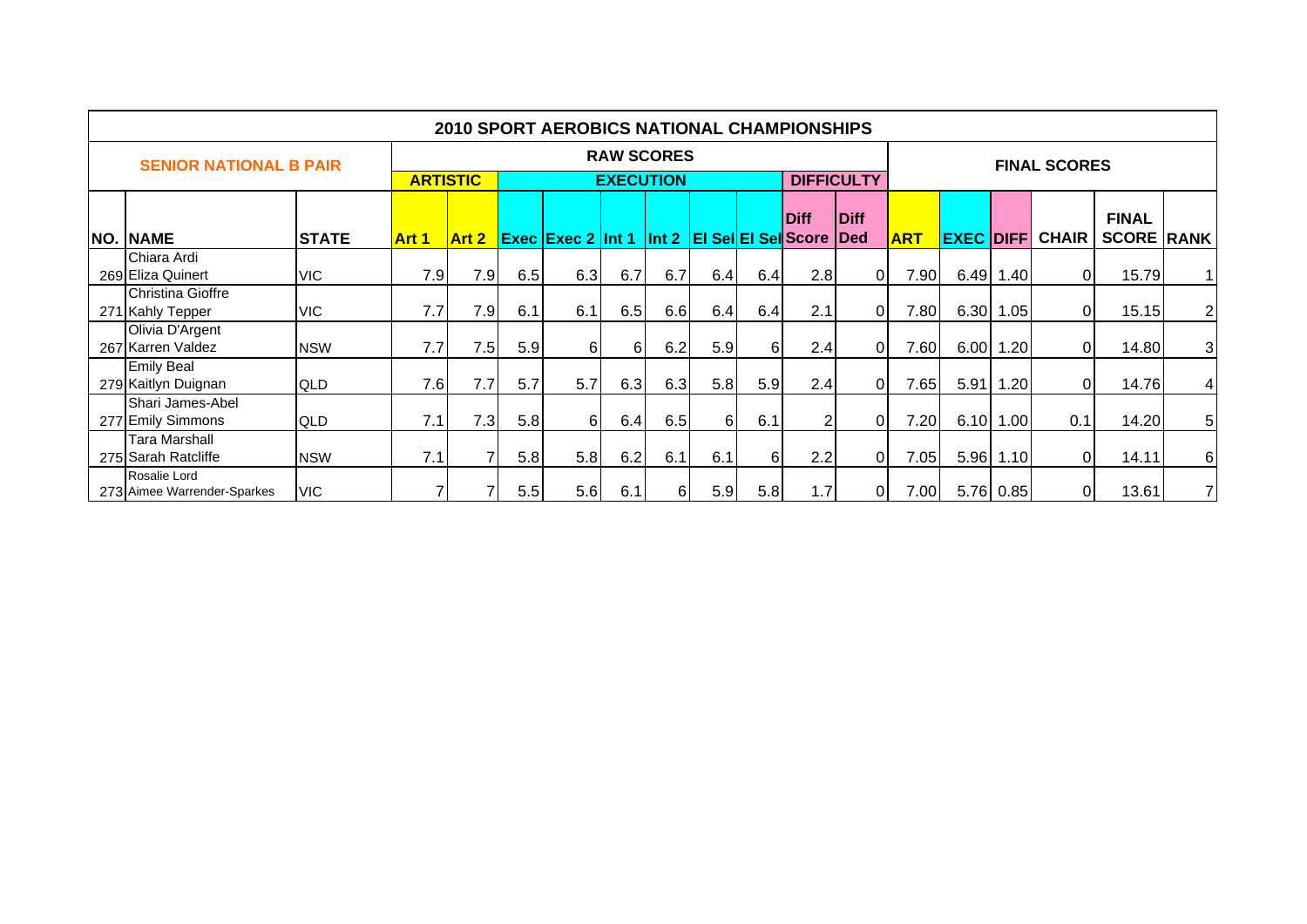|                                             |              |                 |       |     | <b>2010 SPORT AEROBICS NATIONAL CHAMPIONSHIPS</b> |                   |         |     |     |                                           |                             |            |                  |           |                     |                                   |                |
|---------------------------------------------|--------------|-----------------|-------|-----|---------------------------------------------------|-------------------|---------|-----|-----|-------------------------------------------|-----------------------------|------------|------------------|-----------|---------------------|-----------------------------------|----------------|
| <b>SENIOR NATIONAL B PAIR</b>               |              |                 |       |     |                                                   | <b>RAW SCORES</b> |         |     |     |                                           |                             |            |                  |           | <b>FINAL SCORES</b> |                                   |                |
|                                             |              | <b>ARTISTIC</b> |       |     |                                                   | <b>EXECUTION</b>  |         |     |     | <b>DIFFICULTY</b>                         |                             |            |                  |           |                     |                                   |                |
| <b>NO. NAME</b>                             | <b>STATE</b> | <b>Art 1</b>    | Art 2 |     | <b>Exec Exec 2 Int 1</b>                          |                   | $\ln 2$ |     |     | <b>Diff</b><br><b>EI Sel EI Sel Score</b> | <b>IDiff</b><br><b>IDed</b> | <b>ART</b> | <b>EXEC DIFF</b> |           | <b>CHAIR</b>        | <b>FINAL</b><br><b>SCORE RANK</b> |                |
| Chiara Ardi<br>269 Eliza Quinert            | <b>VIC</b>   | 7.9             | 7.9   | 6.5 | 6.3                                               | 6.7               | 6.7     | 6.4 | 6.4 | 2.8                                       | 0                           | 7.90       |                  | 6.49 1.40 | $\overline{0}$      | 15.79                             | 1 <sup>1</sup> |
| Christina Gioffre<br>271 Kahly Tepper       | VIC.         | 7.7             | 7.9   | 6.1 | 6.1                                               | 6.5               | 6.6     | 6.4 | 6.4 | 2.1                                       | $\mathbf{0}$                | 7.80       |                  | 6.30 1.05 | $\overline{0}$      | 15.15                             | 2              |
| Olivia D'Argent<br>267 Karren Valdez        | <b>NSW</b>   | 7.7             | 7.5   | 5.9 | 61                                                | 61                | 6.2     | 5.9 | 61  | 2.4                                       | 0                           | 7.60       |                  | 6.00 1.20 | $\overline{0}$      | 14.80                             | 3 <sub>l</sub> |
| <b>Emily Beal</b><br>279 Kaitlyn Duignan    | <b>QLD</b>   | 7.6             | 7.7   | 5.7 | 5.7                                               | 6.3               | 6.3     | 5.8 | 5.9 | 2.4                                       | $\Omega$                    | 7.65       | 5.91             | 1.20      | $\overline{0}$      | 14.76                             | $\vert$        |
| Shari James-Abel<br>277 Emily Simmons       | <b>QLD</b>   | 7.1             | 7.3   | 5.8 | 61                                                | 6.4               | 6.5     | 6   | 6.1 |                                           | 0                           | 7.20       |                  | 6.10 1.00 | 0.1                 | 14.20                             | 5 <sub>l</sub> |
| <b>Tara Marshall</b><br>275 Sarah Ratcliffe | <b>NSW</b>   | 7.1             |       | 5.8 | 5.8                                               | 6.2               | 6.1     | 6.1 | 61  | 2.2                                       | 0.                          | 7.05       |                  | 5.96 1.10 | $\overline{0}$      | 14.11                             | 6              |
| Rosalie Lord<br>273 Aimee Warrender-Sparkes | <b>VIC</b>   |                 |       | 5.5 | 5.6                                               | 6.1               | 61      | 5.9 | 5.8 | 1.7                                       | 0                           | 7.00       |                  | 5.76 0.85 | $\overline{0}$      | 13.61                             | 7 <sup>1</sup> |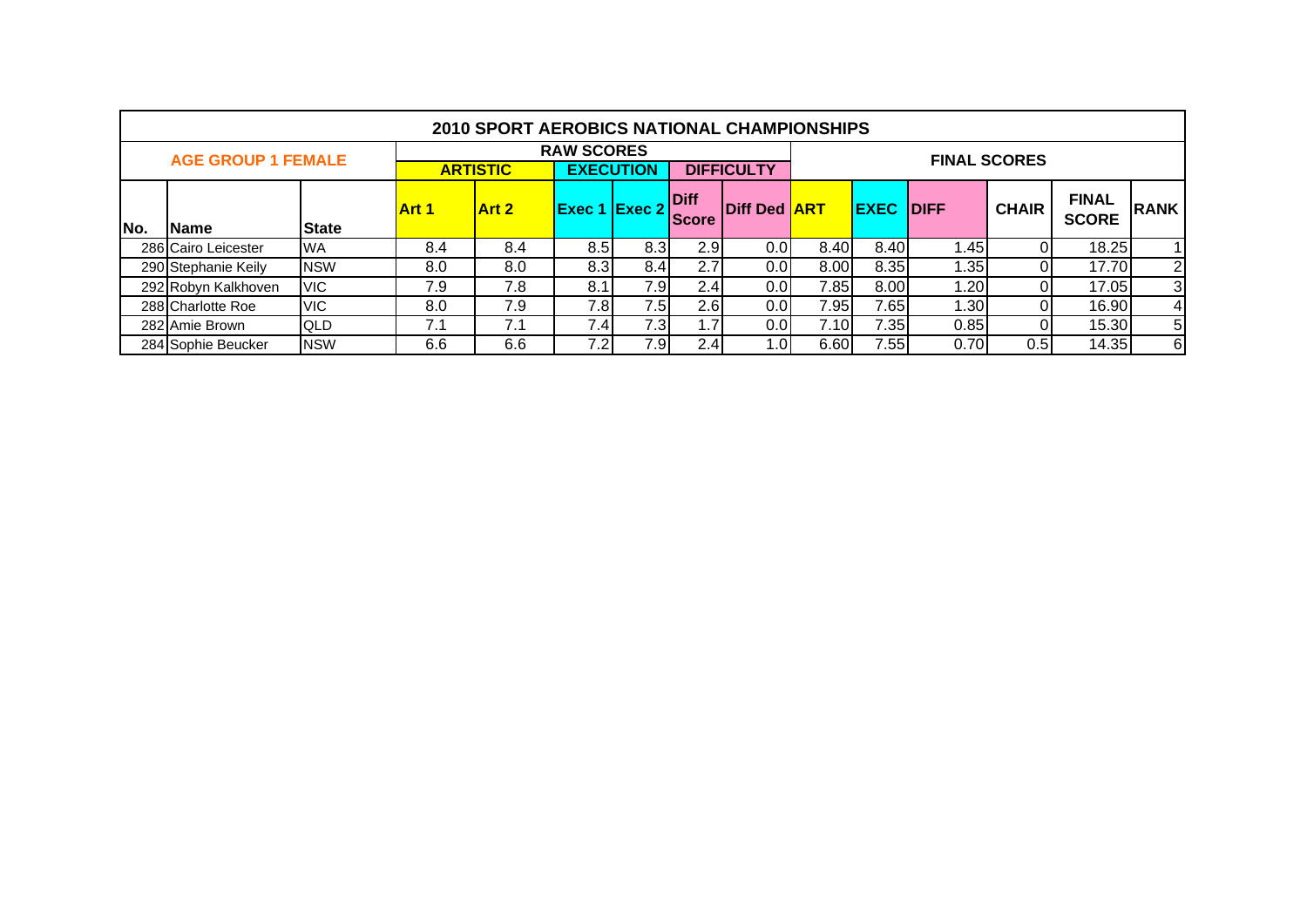|     |                           |              |              | <b>2010 SPORT AEROBICS NATIONAL CHAMPIONSHIPS</b> |                   |                  |                      |                                                                                                                   |      |      |      |                     |       |                |  |  |
|-----|---------------------------|--------------|--------------|---------------------------------------------------|-------------------|------------------|----------------------|-------------------------------------------------------------------------------------------------------------------|------|------|------|---------------------|-------|----------------|--|--|
|     | <b>AGE GROUP 1 FEMALE</b> |              |              |                                                   | <b>RAW SCORES</b> |                  |                      |                                                                                                                   |      |      |      | <b>FINAL SCORES</b> |       |                |  |  |
|     |                           |              |              | <b>ARTISTIC</b>                                   |                   | <b>EXECUTION</b> |                      | <b>DIFFICULTY</b>                                                                                                 |      |      |      |                     |       |                |  |  |
| No. | <b>Name</b>               | <b>State</b> | <b>Art 1</b> | <b>Art 2</b>                                      | Exec 1            | $\vert$ Exec 2   | Diff<br><b>Score</b> | <b>FINAL</b><br><b>IDIFF</b><br>Diff Ded <b>ART</b><br><b>EXEC</b><br><b>CHAIR</b><br><b>RANK</b><br><b>SCORE</b> |      |      |      |                     |       |                |  |  |
|     | 286 Cairo Leicester       | <b>WA</b>    | 8.4          | 8.4                                               | 8.5               | 8.3              | 2.9                  | 0.0                                                                                                               | 8.40 | 8.40 | 1.45 |                     | 18.25 |                |  |  |
|     | 290 Stephanie Keily       | <b>NSW</b>   | 8.0          | 8.0                                               | 8.3               | 8.4              | 2.7                  | 0.0                                                                                                               | 8.00 | 8.35 | 1.35 |                     | 17.70 | $\overline{2}$ |  |  |
|     | 292 Robyn Kalkhoven       | <b>VIC</b>   | 7.9          | 7.8                                               | 8.1               | 7.9              | 2.4                  | 0.0                                                                                                               | 7.85 | 8.00 | 1.20 |                     | 17.05 | 3              |  |  |
|     | 288 Charlotte Roe         | <b>VIC</b>   | 8.0          | 7.9                                               | 7.8               | 7.5              | 2.6                  | 0.0                                                                                                               | 7.95 | 7.65 | 1.30 |                     | 16.90 | $\overline{4}$ |  |  |
|     | 282 Amie Brown            | <b>QLD</b>   | 7.1          | 7.1                                               | 7.4 <sub>1</sub>  | 7.3              | 1.7                  | 0.0                                                                                                               | 7.10 | 7.35 | 0.85 |                     | 15.30 | 5              |  |  |
|     | 284 Sophie Beucker        | <b>NSW</b>   | 6.6          | 6.6                                               | 7.2               | 7.9              | 2.4                  | 0۱. ،                                                                                                             | 6.60 | 7.55 | 0.70 | 0.5                 | 14.35 | 6              |  |  |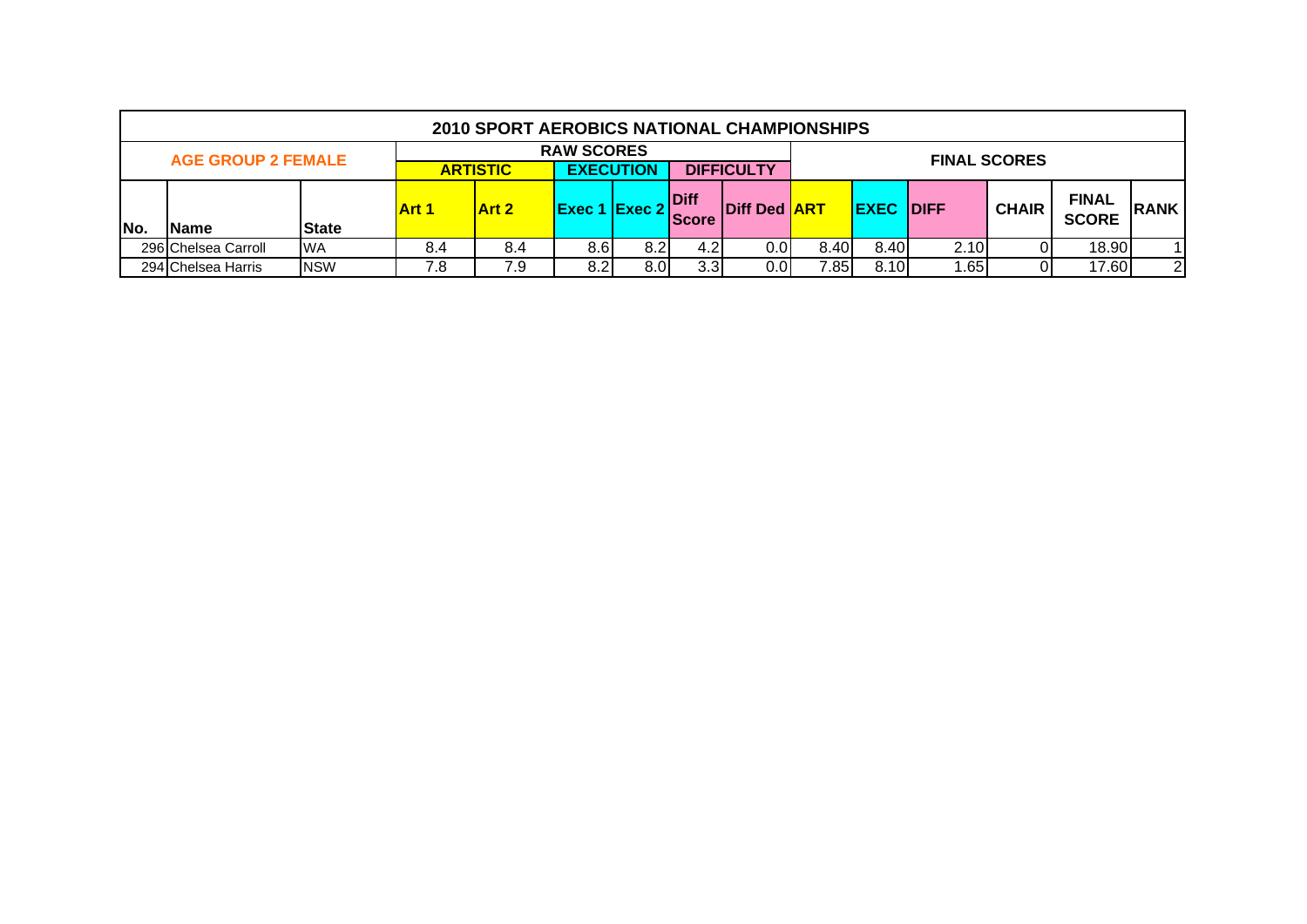|                                                                                                                                                                                                                     |                           |            |     | 2010 SPORT AEROBICS NATIONAL CHAMPIONSHIPS |                   |      |                  |         |      |      |                  |                     |                              |                |
|---------------------------------------------------------------------------------------------------------------------------------------------------------------------------------------------------------------------|---------------------------|------------|-----|--------------------------------------------|-------------------|------|------------------|---------|------|------|------------------|---------------------|------------------------------|----------------|
|                                                                                                                                                                                                                     | <b>AGE GROUP 2 FEMALE</b> |            |     |                                            | <b>RAW SCORES</b> |      |                  |         |      |      |                  | <b>FINAL SCORES</b> |                              |                |
|                                                                                                                                                                                                                     |                           |            |     |                                            |                   |      |                  |         |      |      |                  |                     |                              |                |
| <b>EXECUTION</b><br><b>DIFFICULTY</b><br><b>ARTISTIC</b><br><b>IDiff</b><br>$ $ Exec 1 $ $ Exec 2 $ $<br><b>IDiff Ded ART</b><br><b>Art 2</b><br><b>Art 1</b><br><b>Score</b><br>No.<br><b>State</b><br><b>Name</b> |                           |            |     |                                            |                   |      |                  |         |      |      | <b>EXEC DIFF</b> | <b>CHAIR</b>        | <b>FINAL</b><br><b>SCORE</b> | <b>RANK</b>    |
|                                                                                                                                                                                                                     | 296 Chelsea Carroll       | <b>WA</b>  | 8.4 | 8.4                                        | 8.6               | 8.2  | 4.2'             | 0.OI    | 8.40 | 8.40 | 2.10             |                     | 18.90                        |                |
|                                                                                                                                                                                                                     | 294 Chelsea Harris        | <b>NSW</b> | 7.8 | 7.9                                        | 8.2 <sub>1</sub>  | 8.OI | 3.3 <sub>l</sub> | $0.0\,$ | 7.85 | 8.10 | .65              |                     | 17.60                        | $\overline{2}$ |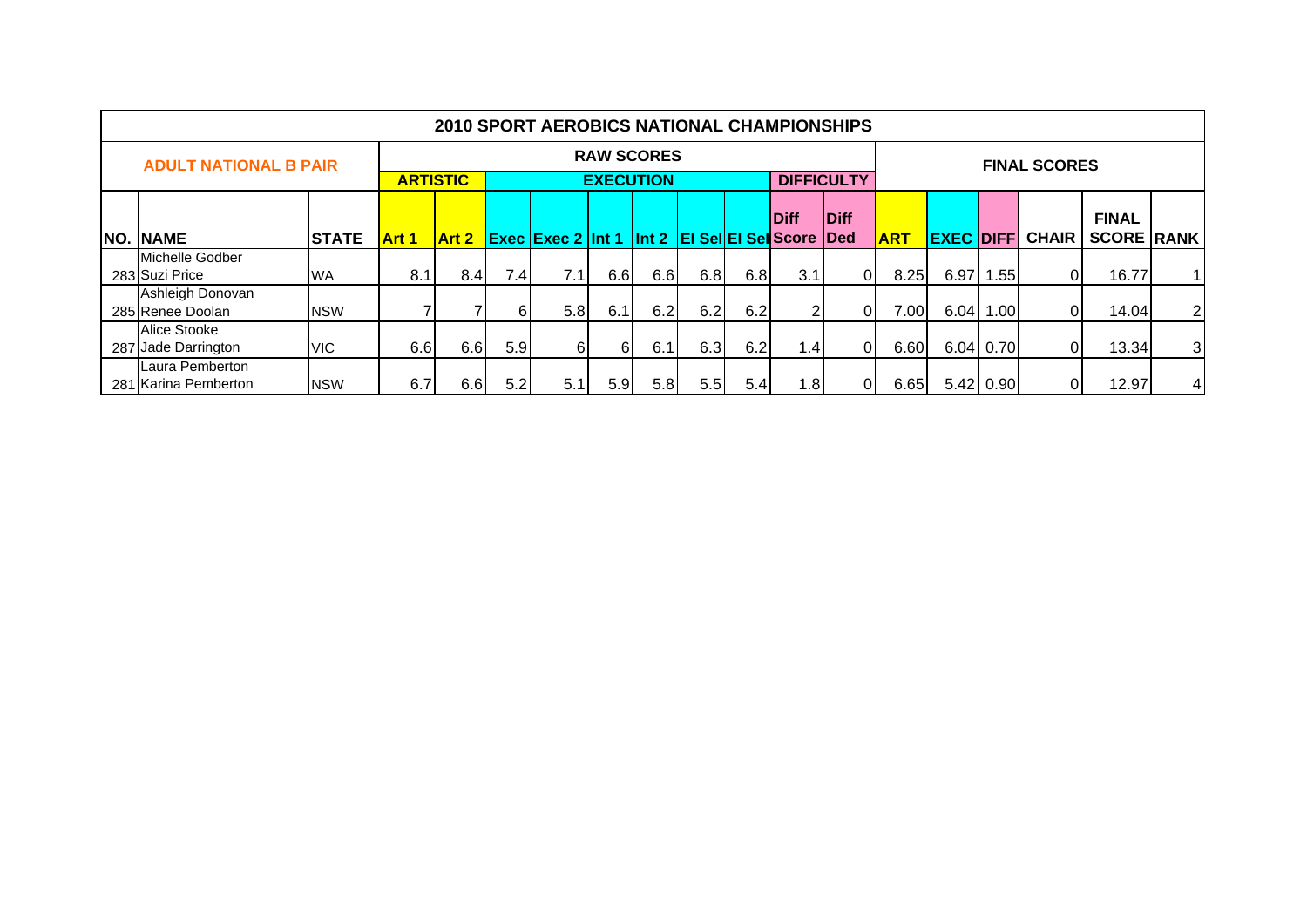|                                         |              |                 |              |     | <b>2010 SPORT AEROBICS NATIONAL CHAMPIONSHIPS</b>      |                   |     |                  |     |                  |                   |            |                  |           |                     |                   |                |
|-----------------------------------------|--------------|-----------------|--------------|-----|--------------------------------------------------------|-------------------|-----|------------------|-----|------------------|-------------------|------------|------------------|-----------|---------------------|-------------------|----------------|
| <b>ADULT NATIONAL B PAIR</b>            |              |                 |              |     |                                                        | <b>RAW SCORES</b> |     |                  |     |                  |                   |            |                  |           | <b>FINAL SCORES</b> |                   |                |
|                                         |              | <b>ARTISTIC</b> |              |     |                                                        | <b>EXECUTION</b>  |     |                  |     |                  | <b>DIFFICULTY</b> |            |                  |           |                     |                   |                |
|                                         |              |                 |              |     | <b>Diff</b>                                            | <b>IDiff</b>      |     |                  |     |                  | <b>FINAL</b>      |            |                  |           |                     |                   |                |
| <b>NO. NAME</b>                         | <b>STATE</b> | Art 1           | <b>Art 2</b> |     | <b>Exec Exec 2 Int 1 Int 2 EI SellEI SellScore Ded</b> |                   |     |                  |     |                  |                   | <b>ART</b> | <b>EXEC DIFF</b> |           | <b>CHAIR</b>        | <b>SCORE RANK</b> |                |
| Michelle Godber<br>283 Suzi Price       | <b>WA</b>    | 8.1             | 8.4          | 7.4 | 7.1                                                    | 6.6               | 6.6 | 6.8              | 6.8 | 3.11             | 01                | 8.25       | $6.97$   1       | 1.551     | 01                  | 16.77             | 11             |
| Ashleigh Donovan<br>285 Renee Doolan    | <b>NSW</b>   |                 |              | 61  | 5.8                                                    | 6.1               | 6.2 | 6.2              | 6.2 | $\overline{2}$   | Οl                | 7.00       |                  | 6.04 1.00 | 01                  | 14.04             | $\overline{2}$ |
| Alice Stooke<br>287 Jade Darrington     | VIC.         | 6.6             | 6.6          | 5.9 | 61                                                     | 61                | 6.1 | 6.3              | 6.2 | 1.4              | 01                | 6.60       |                  | 6.04 0.70 | ΟI                  | 13.34             | $\overline{3}$ |
| Laura Pemberton<br>281 Karina Pemberton | <b>NSW</b>   | 6.7             | 6.6          | 5.2 | 5.1                                                    | 5.9 <sub>1</sub>  | 5.8 | 5.5 <sub>1</sub> | 5.4 | $\overline{8}$ . | 01                | 6.65       |                  | 5.42 0.90 | 01                  | 12.97             | $\overline{4}$ |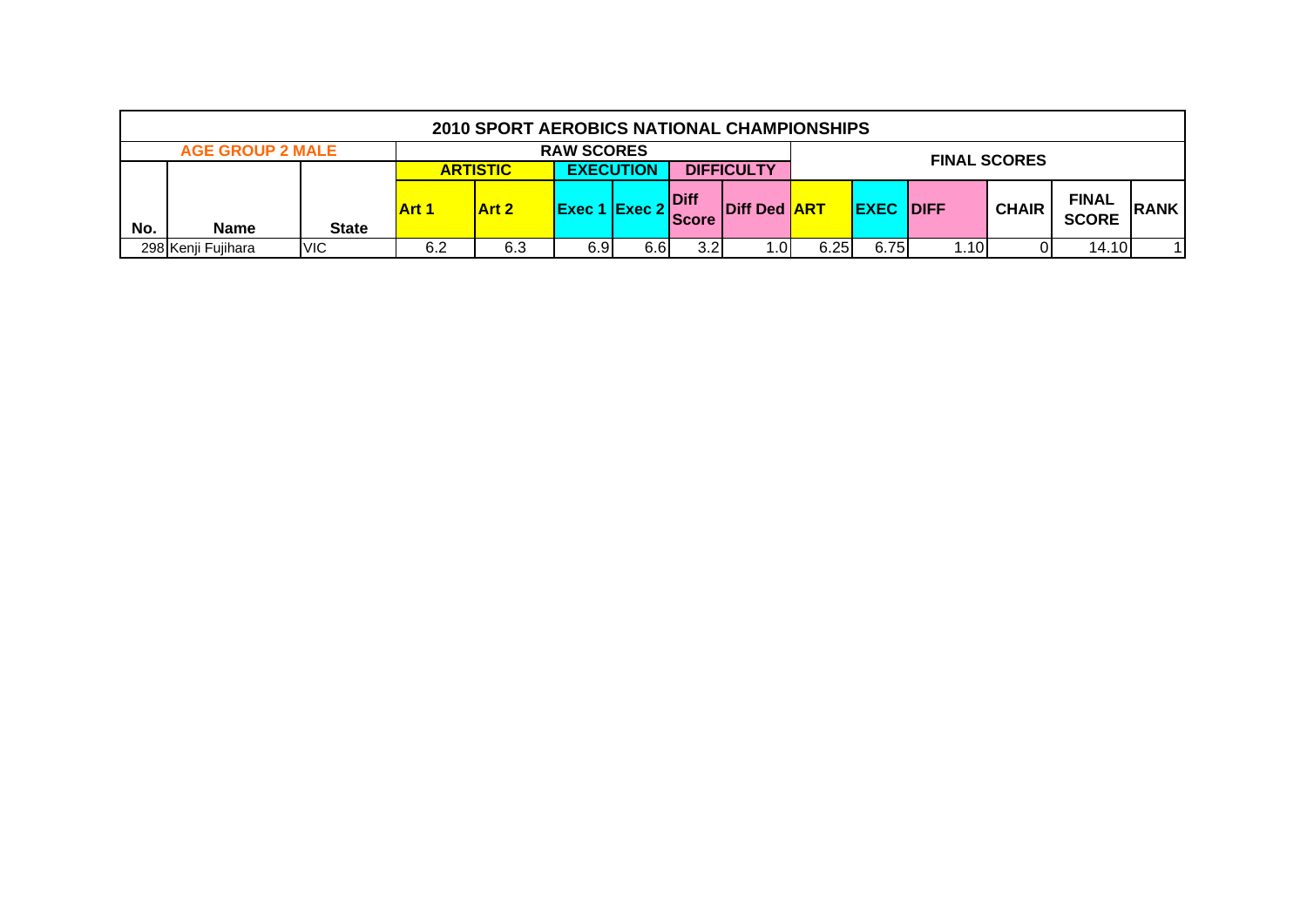|     |                         |              |       | 2010 SPORT AEROBICS NATIONAL CHAMPIONSHIPS |                      |                  |                             |                     |      |                  |      |                     |                              |             |
|-----|-------------------------|--------------|-------|--------------------------------------------|----------------------|------------------|-----------------------------|---------------------|------|------------------|------|---------------------|------------------------------|-------------|
|     | <b>AGE GROUP 2 MALE</b> |              |       |                                            | <b>RAW SCORES</b>    |                  |                             |                     |      |                  |      | <b>FINAL SCORES</b> |                              |             |
|     |                         |              |       | <b>ARTISTIC</b>                            |                      | <b>EXECUTION</b> |                             | <b>DIFFICULTY</b>   |      |                  |      |                     |                              |             |
| No. | <b>Name</b>             | <b>State</b> | Art 1 | <b>Art 2</b>                               | <b>Exec 1 Exec 2</b> |                  | <b>Diff</b><br><b>Score</b> | Diff Ded <b>ART</b> |      | <b>EXEC DIFF</b> |      | <b>CHAIR</b>        | <b>FINAL</b><br><b>SCORE</b> | <b>RANK</b> |
|     | 298 Kenji Fujihara      | <b>VIC</b>   | 6.2   | 6.3                                        | 6.9                  | 6.6              | 3.2                         | .01                 | 6.25 | 6.75             | 1.10 |                     | 14.10                        |             |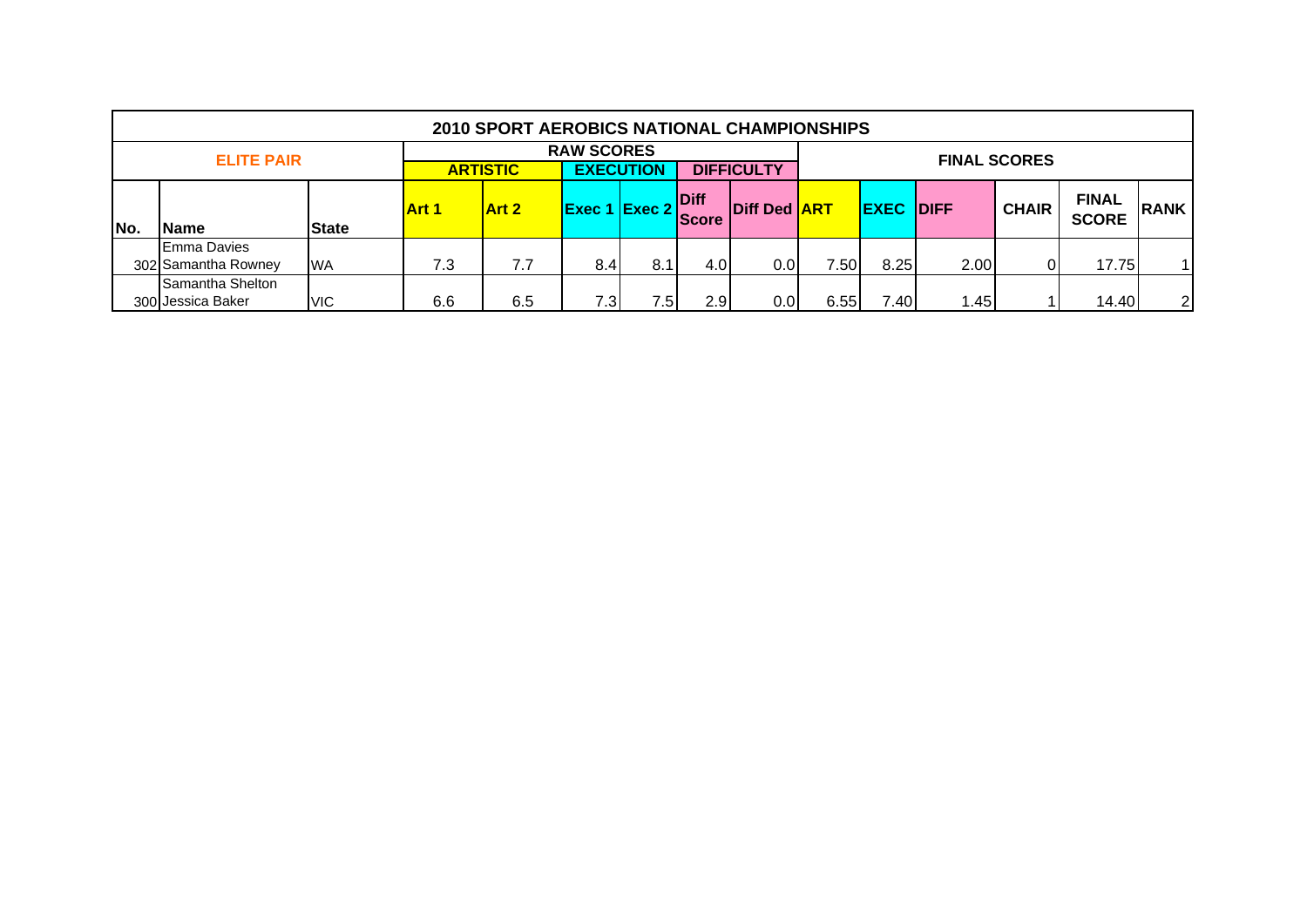|     |                                                                                                    |              |              | <b>2010 SPORT AEROBICS NATIONAL CHAMPIONSHIPS</b> |                           |     |                      |                     |      |             |              |                     |                              |                |
|-----|----------------------------------------------------------------------------------------------------|--------------|--------------|---------------------------------------------------|---------------------------|-----|----------------------|---------------------|------|-------------|--------------|---------------------|------------------------------|----------------|
|     | <b>RAW SCORES</b><br><b>ELITE PAIR</b><br><b>EXECUTION</b><br><b>DIFFICULTY</b><br><b>ARTISTIC</b> |              |              |                                                   |                           |     |                      |                     |      |             |              | <b>FINAL SCORES</b> |                              |                |
| No. | Name                                                                                               | <b>State</b> | <b>Art 1</b> | <b>Art 2</b>                                      | $ $ Exec 1 $ $ Exec 2 $ $ |     | Diff<br><b>Score</b> | <b>Diff Ded ART</b> |      | <b>EXEC</b> | <b>IDIFF</b> | <b>CHAIR</b>        | <b>FINAL</b><br><b>SCORE</b> | <b>RANK</b>    |
|     | <b>Emma Davies</b><br>302 Samantha Rowney                                                          | <b>WA</b>    | 7.3          | 7.7                                               | 8.4                       | 8.1 | 4.0                  | 0.0                 | 7.50 | 8.25        | 2.00         |                     | 17.75                        |                |
|     | Samantha Shelton<br>300 Jessica Baker                                                              | <b>VIC</b>   | 6.6          | 6.5                                               | 7.3                       | /5  | 2.9                  | 0.0                 | 6.55 | 7.40        | 1.45         |                     | 14.40                        | $\overline{2}$ |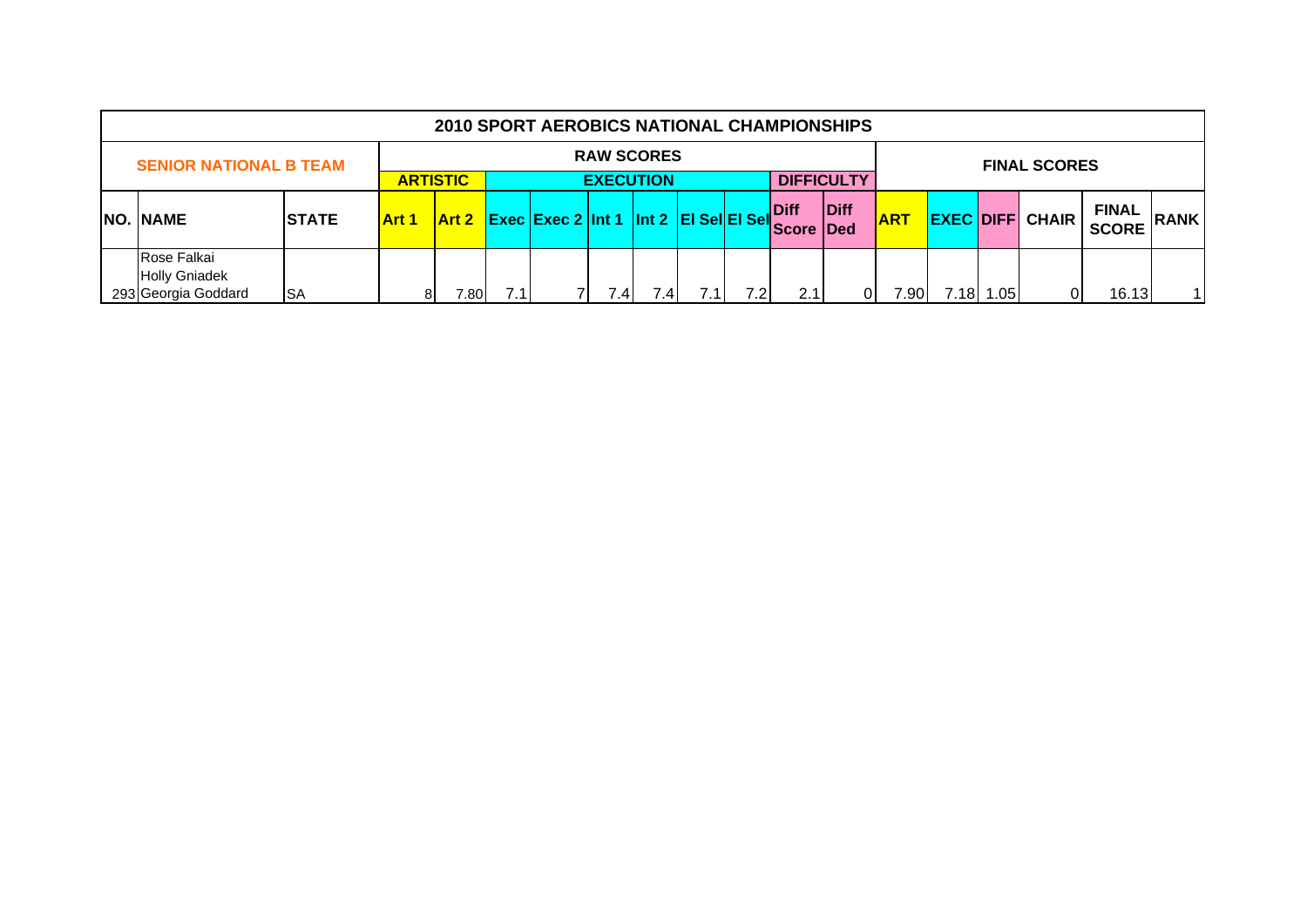|  | <b>2010 SPORT AEROBICS NATIONAL CHAMPIONSHIPS</b>          |                   |                                     |       |     |                                              |      |      |  |      |                          |      |                     |       |     |                        |                              |             |
|--|------------------------------------------------------------|-------------------|-------------------------------------|-------|-----|----------------------------------------------|------|------|--|------|--------------------------|------|---------------------|-------|-----|------------------------|------------------------------|-------------|
|  | <b>SENIOR NATIONAL B TEAM</b>                              | <b>RAW SCORES</b> |                                     |       |     |                                              |      |      |  |      |                          |      | <b>FINAL SCORES</b> |       |     |                        |                              |             |
|  |                                                            |                   | <b>ARTISTIC</b><br><b>EXECUTION</b> |       |     |                                              |      |      |  |      | <b>DIFFICULTY</b>        |      |                     |       |     |                        |                              |             |
|  | <b>NO. NAME</b>                                            | <b>STATE</b>      | <b>Art 1</b>                        |       |     | Art 2 Exec Exec 2 Int 1 Int 2 EI Sel EI Sell |      |      |  |      | Diff<br><b>Score Ded</b> | Diff | <b>ART</b>          |       |     | <b>EXEC DIFF CHAIR</b> | <b>FINAL</b><br><b>SCORE</b> | <b>RANK</b> |
|  | Rose Falkai<br><b>Holly Gniadek</b><br>293 Georgia Goddard | <b>ISA</b>        | 81                                  | 0.801 | 7.1 |                                              | 7.41 | 7.4' |  | 7.2I | 2.11                     | 01   | 7.90                | 7.18I | .05 | 01                     | 16.13                        | 11          |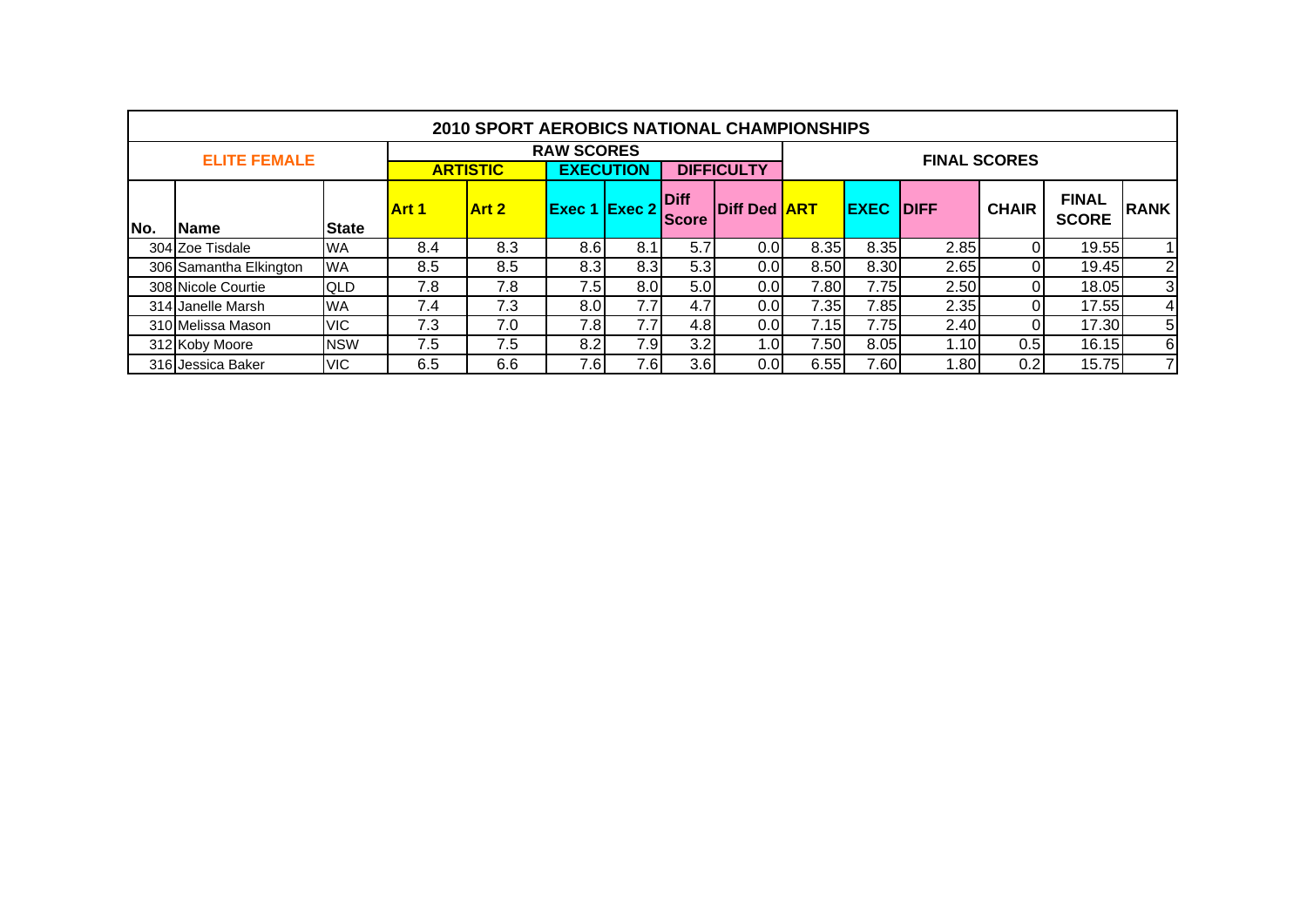|     | <b>2010 SPORT AEROBICS NATIONAL CHAMPIONSHIPS</b> |                 |              |                   |                      |      |                      |                     |      |                  |       |              |                              |                 |  |  |  |
|-----|---------------------------------------------------|-----------------|--------------|-------------------|----------------------|------|----------------------|---------------------|------|------------------|-------|--------------|------------------------------|-----------------|--|--|--|
|     | <b>ELITE FEMALE</b>                               |                 |              | <b>RAW SCORES</b> |                      |      | <b>FINAL SCORES</b>  |                     |      |                  |       |              |                              |                 |  |  |  |
|     |                                                   | <b>ARTISTIC</b> |              | <b>EXECUTION</b>  |                      |      | <b>DIFFICULTY</b>    |                     |      |                  |       |              |                              |                 |  |  |  |
| No. | Name                                              | <b>State</b>    | <b>Art 1</b> | <b>Art 2</b>      | <b>Exec 1 Exec 2</b> |      | Diff<br><b>Score</b> | Diff Ded <b>ART</b> |      | <b>EXEC DIFF</b> |       | <b>CHAIR</b> | <b>FINAL</b><br><b>SCORE</b> | <b>RANK</b>     |  |  |  |
|     |                                                   |                 |              |                   |                      |      | 5.7                  |                     | 8.35 | 8.35             |       |              | 19.55                        |                 |  |  |  |
|     | 304 Zoe Tisdale                                   | <b>WA</b>       | 8.4          | 8.3               | 8.6                  | 8.1  |                      | 0.0                 |      |                  | 2.85  |              |                              |                 |  |  |  |
|     | 306 Samantha Elkington                            | <b>WA</b>       | 8.5          | 8.5               | 8.3                  | 8.3  | 5.3                  | 0.01                | 8.50 | 8.30             | 2.65  |              | 19.45                        | $\mathbf{2}$    |  |  |  |
|     | 308 Nicole Courtie                                | <b>QLD</b>      | 7.8          | 7.8               | 7.5I                 | 8.0  | 5.0 <sub>1</sub>     | 0.01                | 7.80 | 7.75             | 2.50  |              | 18.05                        | $\overline{3}$  |  |  |  |
|     | 314 Janelle Marsh                                 | <b>WA</b>       | 7.4          | 7.3               | 8.0 <sub>l</sub>     | 7.7  | 4.7                  | 0.01                | 7.35 | 7.85             | 2.35  |              | 17.55                        | $\vert 4 \vert$ |  |  |  |
|     | 310 Melissa Mason                                 | <b>VIC</b>      | 7.3          | 7.0               | 7.8                  | 7.7  | 4.8                  | 0.0                 | 7.15 | 7.75             | 2.40  | $\Omega$     | 17.30                        | 5 <sub>l</sub>  |  |  |  |
|     | 312 Koby Moore                                    | <b>NSW</b>      | 7.5          | 7.5               | 8.2                  | 7.9  | 3.2                  | 1.OI                | 7.50 | 8.05             | 1.10  | 0.5          | 16.15                        | $6 \mid$        |  |  |  |
|     | 316 Jessica Baker                                 | <b>VIC</b>      | 6.5          | 6.6               | 7.6I                 | 7.6I | 3.6                  | 0.01                | 6.55 | 7.60             | l.80l | 0.2          | 15.75                        | 71              |  |  |  |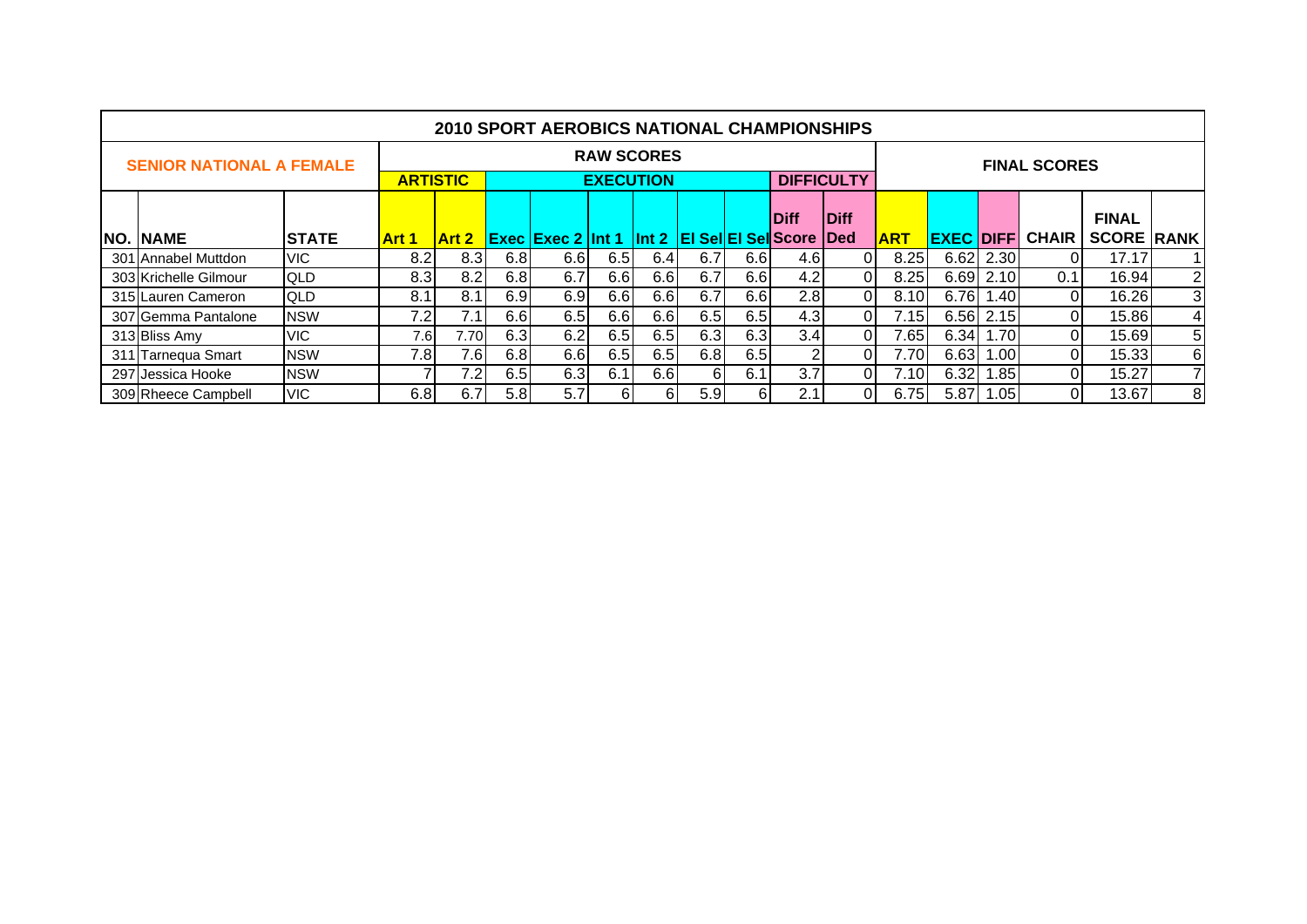|                                 | <b>2010 SPORT AEROBICS NATIONAL CHAMPIONSHIPS</b> |              |       |                                     |      |                          |                   |                     |                  |     |                                   |                   |            |                   |             |              |                   |                 |
|---------------------------------|---------------------------------------------------|--------------|-------|-------------------------------------|------|--------------------------|-------------------|---------------------|------------------|-----|-----------------------------------|-------------------|------------|-------------------|-------------|--------------|-------------------|-----------------|
| <b>SENIOR NATIONAL A FEMALE</b> |                                                   |              |       |                                     |      |                          | <b>RAW SCORES</b> | <b>FINAL SCORES</b> |                  |     |                                   |                   |            |                   |             |              |                   |                 |
|                                 |                                                   |              |       | <b>ARTISTIC</b><br><b>EXECUTION</b> |      |                          |                   |                     |                  |     |                                   | <b>DIFFICULTY</b> |            |                   |             |              |                   |                 |
|                                 |                                                   |              |       |                                     |      |                          |                   |                     |                  |     | <b>Diff</b>                       | <b>IDiff</b>      |            |                   |             |              | <b>FINAL</b>      |                 |
|                                 | <b>NO. NAME</b>                                   | <b>STATE</b> | Art 1 | <b>Art 2</b>                        |      | <b>Exec Exec 2 Int 1</b> |                   |                     |                  |     | Int 2   El Sel El Sel Score   Ded |                   | <b>ART</b> | <b>EXEC DIFFI</b> |             | <b>CHAIR</b> | <b>SCORE RANK</b> |                 |
|                                 | 301 Annabel Muttdon                               | VIC.         | 8.2   | 8.3                                 | 6.8  | 6.6                      | 6.5               | 6.4                 | 6.7              | 6.6 | 4.6                               |                   | 8.25       |                   | $6.62$ 2.30 |              | 17.17             | <u>1</u>        |
|                                 | 303 Krichelle Gilmour                             | QLD          | 8.3   | 8.2                                 | 6.8  | 6.7                      | 6.6               | 6.6                 | 6.7              | 6.6 | 4.2                               | 01                | 8.25       |                   | 6.69 2.10   | 0.1          | 16.94             | $\overline{2}$  |
|                                 | 315 Lauren Cameron                                | QLD          | 8.1   | 8.1                                 | 6.9  | 6.9                      | 6.6               | 6.6                 | 6.7              | 6.6 | 2.8                               | ΟI                | 8.10       | 6.76              | 1.40        | 01           | 16.26             | $\overline{3}$  |
|                                 | 307 Gemma Pantalone                               | <b>NSW</b>   | 7.2   | 7.1                                 | 6.6  | 6.5                      | 6.6               | 6.6                 | 6.5              | 6.5 | 4.3                               | ΩI                | 7.15       |                   | 6.56 2.15   | 01           | 15.86             | $\vert 4 \vert$ |
|                                 | 313 Bliss Amy                                     | <b>VIC</b>   | 7.6   | 7.70I                               | 6.3  | 6.2                      | 6.5               | 6.5                 | 6.3              | 6.3 | 3.4                               | ΟI                | 7.65       |                   | 6.34 1.70   | 01           | 15.69             | 5 <sub>1</sub>  |
|                                 | 311 Tarnequa Smart                                | <b>NSW</b>   | 7.8   | 7.6                                 | 6.8  | 6.6                      | 6.5               | 6.5                 | 6.8              | 6.5 | $\overline{2}$                    | ΩI                | 7.70       | 6.63              | 1.00        | 01           | 15.33             | 6 <sup>1</sup>  |
|                                 | 297 Jessica Hooke                                 | <b>NSW</b>   |       | 7.2 <sub>1</sub>                    | 6.5  | 6.3                      | 6.1               | 6.6                 | 6I               | 6.1 | 3.7                               | ΩI                | 7.10       | 6.32              | 1.85        | ٥ı           | 15.27             | 71              |
|                                 | 309 Rheece Campbell                               | <b>VIC</b>   | 6.8   | 6.7                                 | 5.8I | 5.7                      | 61                | 61                  | 5.9 <sub>l</sub> | 61  | 2.1                               | 01                | 6.75       | 5.87              | 1.05        | ٥ı           | 13.67             | 8               |